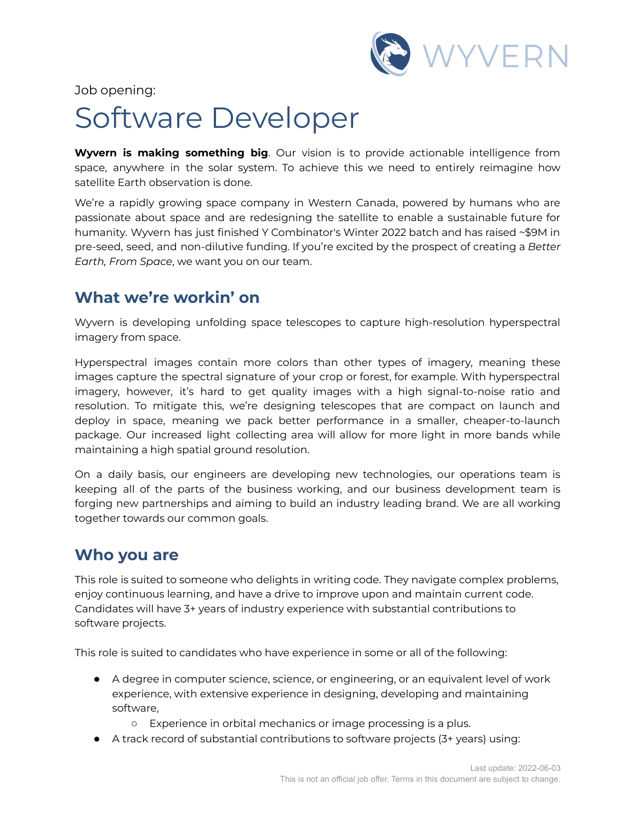

Job opening:

# Software Developer

**Wyvern is making something big**. Our vision is to provide actionable intelligence from space, anywhere in the solar system. To achieve this we need to entirely reimagine how satellite Earth observation is done.

We're a rapidly growing space company in Western Canada, powered by humans who are passionate about space and are redesigning the satellite to enable a sustainable future for humanity. Wyvern has just finished Y Combinator's Winter 2022 batch and has raised ~\$9M in pre-seed, seed, and non-dilutive funding. If you're excited by the prospect of creating a *Better Earth, From Space*, we want you on our team.

### **What we're workin' on**

Wyvern is developing unfolding space telescopes to capture high-resolution hyperspectral imagery from space.

Hyperspectral images contain more colors than other types of imagery, meaning these images capture the spectral signature of your crop or forest, for example. With hyperspectral imagery, however, it's hard to get quality images with a high signal-to-noise ratio and resolution. To mitigate this, we're designing telescopes that are compact on launch and deploy in space, meaning we pack better performance in a smaller, cheaper-to-launch package. Our increased light collecting area will allow for more light in more bands while maintaining a high spatial ground resolution.

On a daily basis, our engineers are developing new technologies, our operations team is keeping all of the parts of the business working, and our business development team is forging new partnerships and aiming to build an industry leading brand. We are all working together towards our common goals.

### **Who you are**

This role is suited to someone who delights in writing code. They navigate complex problems, enjoy continuous learning, and have a drive to improve upon and maintain current code. Candidates will have 3+ years of industry experience with substantial contributions to software projects.

This role is suited to candidates who have experience in some or all of the following:

- A degree in computer science, science, or engineering, or an equivalent level of work experience, with extensive experience in designing, developing and maintaining software,
	- Experience in orbital mechanics or image processing is a plus.
- A track record of substantial contributions to software projects (3+ years) using: